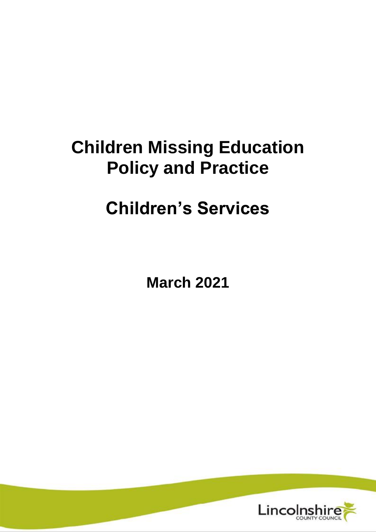# **Children Missing Education Policy and Practice**

# **Children's Services**

**March 2021**

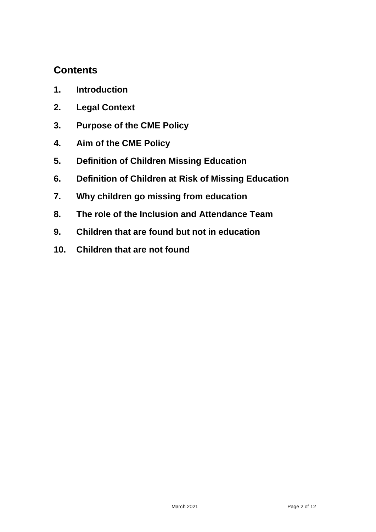### **Contents**

- **1. Introduction**
- **2. Legal Context**
- **3. Purpose of the CME Policy**
- **4. Aim of the CME Policy**
- **5. Definition of Children Missing Education**
- **6. Definition of Children at Risk of Missing Education**
- **7. Why children go missing from education**
- **8. The role of the Inclusion and Attendance Team**
- **9. Children that are found but not in education**
- **10. Children that are not found**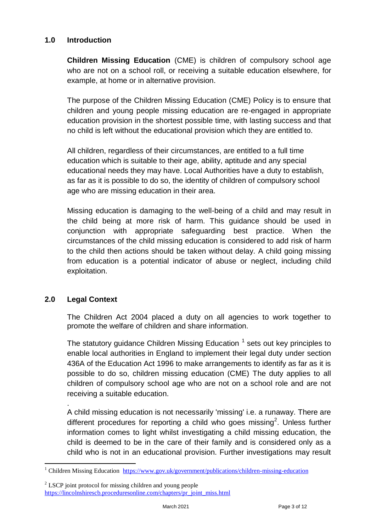#### **1.0 Introduction**

**Children Missing Education** (CME) is children of compulsory school age who are not on a school roll, or receiving a suitable education elsewhere, for example, at home or in alternative provision.

The purpose of the Children Missing Education (CME) Policy is to ensure that children and young people missing education are re-engaged in appropriate education provision in the shortest possible time, with lasting success and that no child is left without the educational provision which they are entitled to.

All children, regardless of their circumstances, are entitled to a full time education which is suitable to their age, ability, aptitude and any special educational needs they may have. Local Authorities have a duty to establish, as far as it is possible to do so, the identity of children of compulsory school age who are missing education in their area.

Missing education is damaging to the well-being of a child and may result in the child being at more risk of harm. This guidance should be used in conjunction with appropriate safeguarding best practice. When the circumstances of the child missing education is considered to add risk of harm to the child then actions should be taken without delay. A child going missing from education is a potential indicator of abuse or neglect, including child exploitation.

#### **2.0 Legal Context**

The Children Act 2004 placed a duty on all agencies to work together to promote the welfare of children and share information.

The statutory guidance Children Missing Education  $1$  sets out key principles to enable local authorities in England to implement their legal duty under section 436A of the Education Act 1996 to make arrangements to identify as far as it is possible to do so, children missing education (CME) The duty applies to all children of compulsory school age who are not on a school role and are not receiving a suitable education.

. A child missing education is not necessarily 'missing' i.e. a runaway. There are different procedures for reporting a child who goes missing<sup>2</sup>. Unless further information comes to light whilst investigating a child missing education, the child is deemed to be in the care of their family and is considered only as a child who is not in an educational provision. Further investigations may result

 $\overline{a}$ <sup>1</sup> Children Missing Education <https://www.gov.uk/government/publications/children-missing-education>

 $2$  LSCP joint protocol for missing children and young people [https://lincolnshirescb.proceduresonline.com/chapters/pr\\_joint\\_miss.html](https://lincolnshirescb.proceduresonline.com/chapters/pr_joint_miss.html)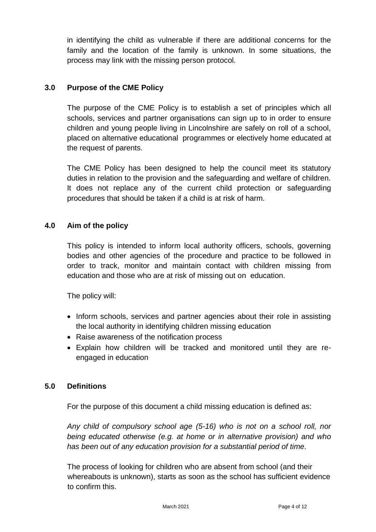in identifying the child as vulnerable if there are additional concerns for the family and the location of the family is unknown. In some situations, the process may link with the missing person protocol.

#### **3.0 Purpose of the CME Policy**

The purpose of the CME Policy is to establish a set of principles which all schools, services and partner organisations can sign up to in order to ensure children and young people living in Lincolnshire are safely on roll of a school, placed on alternative educational programmes or electively home educated at the request of parents.

The CME Policy has been designed to help the council meet its statutory duties in relation to the provision and the safeguarding and welfare of children. It does not replace any of the current child protection or safeguarding procedures that should be taken if a child is at risk of harm.

#### **4.0 Aim of the policy**

This policy is intended to inform local authority officers, schools, governing bodies and other agencies of the procedure and practice to be followed in order to track, monitor and maintain contact with children missing from education and those who are at risk of missing out on education.

The policy will:

- Inform schools, services and partner agencies about their role in assisting the local authority in identifying children missing education
- Raise awareness of the notification process
- Explain how children will be tracked and monitored until they are reengaged in education

#### **5.0 Definitions**

For the purpose of this document a child missing education is defined as:

*Any child of compulsory school age (5-16) who is not on a school roll, nor being educated otherwise (e.g. at home or in alternative provision) and who has been out of any education provision for a substantial period of time.*

The process of looking for children who are absent from school (and their whereabouts is unknown), starts as soon as the school has sufficient evidence to confirm this.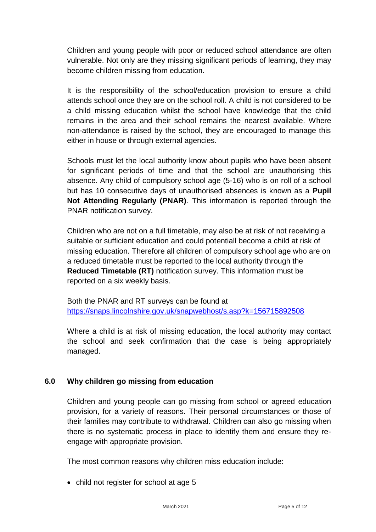Children and young people with poor or reduced school attendance are often vulnerable. Not only are they missing significant periods of learning, they may become children missing from education.

It is the responsibility of the school/education provision to ensure a child attends school once they are on the school roll. A child is not considered to be a child missing education whilst the school have knowledge that the child remains in the area and their school remains the nearest available. Where non-attendance is raised by the school, they are encouraged to manage this either in house or through external agencies.

Schools must let the local authority know about pupils who have been absent for significant periods of time and that the school are unauthorising this absence. Any child of compulsory school age (5-16) who is on roll of a school but has 10 consecutive days of unauthorised absences is known as a **Pupil Not Attending Regularly (PNAR)**. This information is reported through the PNAR notification survey.

Children who are not on a full timetable, may also be at risk of not receiving a suitable or sufficient education and could potentiall become a child at risk of missing education. Therefore all children of compulsory school age who are on a reduced timetable must be reported to the local authority through the **Reduced Timetable (RT)** notification survey. This information must be reported on a six weekly basis.

Both the PNAR and RT surveys can be found at <https://snaps.lincolnshire.gov.uk/snapwebhost/s.asp?k=156715892508>

Where a child is at risk of missing education, the local authority may contact the school and seek confirmation that the case is being appropriately managed.

#### **6.0 Why children go missing from education**

Children and young people can go missing from school or agreed education provision, for a variety of reasons. Their personal circumstances or those of their families may contribute to withdrawal. Children can also go missing when there is no systematic process in place to identify them and ensure they reengage with appropriate provision.

The most common reasons why children miss education include:

• child not register for school at age 5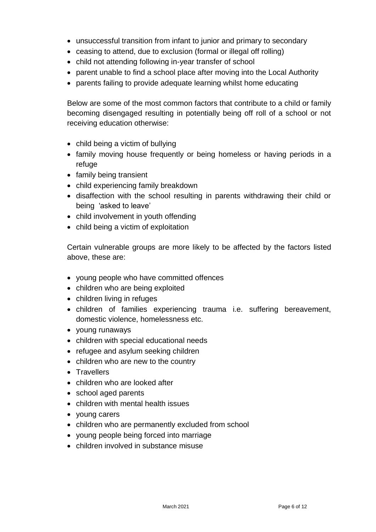- unsuccessful transition from infant to junior and primary to secondary
- ceasing to attend, due to exclusion (formal or illegal off rolling)
- child not attending following in-year transfer of school
- parent unable to find a school place after moving into the Local Authority
- parents failing to provide adequate learning whilst home educating

Below are some of the most common factors that contribute to a child or family becoming disengaged resulting in potentially being off roll of a school or not receiving education otherwise:

- child being a victim of bullying
- family moving house frequently or being homeless or having periods in a refuge
- family being transient
- child experiencing family breakdown
- disaffection with the school resulting in parents withdrawing their child or being 'asked to leave'
- child involvement in youth offending
- child being a victim of exploitation

Certain vulnerable groups are more likely to be affected by the factors listed above, these are:

- young people who have committed offences
- children who are being exploited
- children living in refuges
- children of families experiencing trauma i.e. suffering bereavement, domestic violence, homelessness etc.
- young runaways
- children with special educational needs
- refugee and asylum seeking children
- children who are new to the country
- Travellers
- children who are looked after
- school aged parents
- children with mental health issues
- young carers
- children who are permanently excluded from school
- young people being forced into marriage
- children involved in substance misuse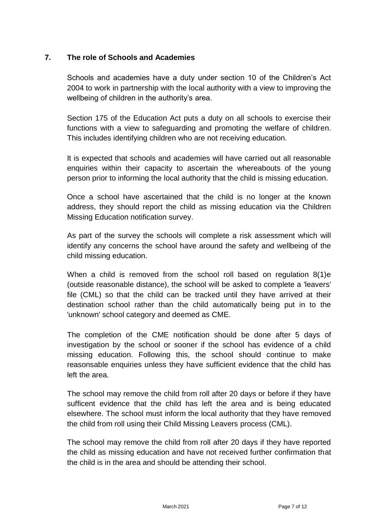#### **7. The role of Schools and Academies**

Schools and academies have a duty under section 10 of the Children's Act 2004 to work in partnership with the local authority with a view to improving the wellbeing of children in the authority's area.

Section 175 of the Education Act puts a duty on all schools to exercise their functions with a view to safeguarding and promoting the welfare of children. This includes identifying children who are not receiving education.

It is expected that schools and academies will have carried out all reasonable enquiries within their capacity to ascertain the whereabouts of the young person prior to informing the local authority that the child is missing education.

Once a school have ascertained that the child is no longer at the known address, they should report the child as missing education via the Children Missing Education notification survey.

As part of the survey the schools will complete a risk assessment which will identify any concerns the school have around the safety and wellbeing of the child missing education.

When a child is removed from the school roll based on regulation 8(1)e (outside reasonable distance), the school will be asked to complete a 'leavers' file (CML) so that the child can be tracked until they have arrived at their destination school rather than the child automatically being put in to the 'unknown' school category and deemed as CME.

The completion of the CME notification should be done after 5 days of investigation by the school or sooner if the school has evidence of a child missing education. Following this, the school should continue to make reasonsable enquiries unless they have sufficient evidence that the child has left the area.

The school may remove the child from roll after 20 days or before if they have sufficent evidence that the child has left the area and is being educated elsewhere. The school must inform the local authority that they have removed the child from roll using their Child Missing Leavers process (CML).

The school may remove the child from roll after 20 days if they have reported the child as missing education and have not received further confirmation that the child is in the area and should be attending their school.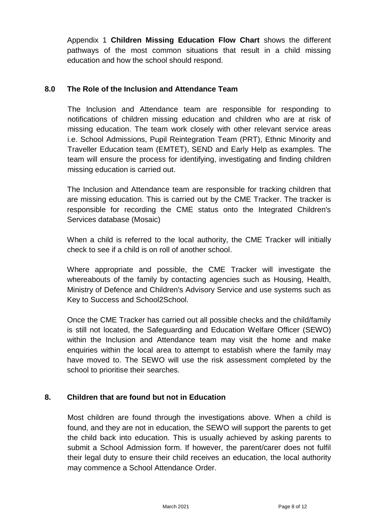Appendix 1 **Children Missing Education Flow Chart** shows the different pathways of the most common situations that result in a child missing education and how the school should respond.

#### **8.0 The Role of the Inclusion and Attendance Team**

The Inclusion and Attendance team are responsible for responding to notifications of children missing education and children who are at risk of missing education. The team work closely with other relevant service areas i.e. School Admissions, Pupil Reintegration Team (PRT), Ethnic Minority and Traveller Education team (EMTET), SEND and Early Help as examples. The team will ensure the process for identifying, investigating and finding children missing education is carried out.

The Inclusion and Attendance team are responsible for tracking children that are missing education. This is carried out by the CME Tracker. The tracker is responsible for recording the CME status onto the Integrated Children's Services database (Mosaic)

When a child is referred to the local authority, the CME Tracker will initially check to see if a child is on roll of another school.

Where appropriate and possible, the CME Tracker will investigate the whereabouts of the family by contacting agencies such as Housing, Health, Ministry of Defence and Children's Advisory Service and use systems such as Key to Success and School2School.

Once the CME Tracker has carried out all possible checks and the child/family is still not located, the Safeguarding and Education Welfare Officer (SEWO) within the Inclusion and Attendance team may visit the home and make enquiries within the local area to attempt to establish where the family may have moved to. The SEWO will use the risk assessment completed by the school to prioritise their searches.

#### **8. Children that are found but not in Education**

Most children are found through the investigations above. When a child is found, and they are not in education, the SEWO will support the parents to get the child back into education. This is usually achieved by asking parents to submit a School Admission form. If however, the parent/carer does not fulfil their legal duty to ensure their child receives an education, the local authority may commence a School Attendance Order.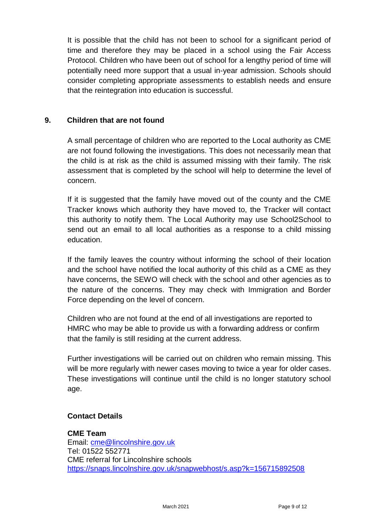It is possible that the child has not been to school for a significant period of time and therefore they may be placed in a school using the Fair Access Protocol. Children who have been out of school for a lengthy period of time will potentially need more support that a usual in-year admission. Schools should consider completing appropriate assessments to establish needs and ensure that the reintegration into education is successful.

#### **9. Children that are not found**

A small percentage of children who are reported to the Local authority as CME are not found following the investigations. This does not necessarily mean that the child is at risk as the child is assumed missing with their family. The risk assessment that is completed by the school will help to determine the level of concern.

If it is suggested that the family have moved out of the county and the CME Tracker knows which authority they have moved to, the Tracker will contact this authority to notify them. The Local Authority may use School2School to send out an email to all local authorities as a response to a child missing education.

If the family leaves the country without informing the school of their location and the school have notified the local authority of this child as a CME as they have concerns, the SEWO will check with the school and other agencies as to the nature of the concerns. They may check with Immigration and Border Force depending on the level of concern.

Children who are not found at the end of all investigations are reported to HMRC who may be able to provide us with a forwarding address or confirm that the family is still residing at the current address.

Further investigations will be carried out on children who remain missing. This will be more regularly with newer cases moving to twice a year for older cases. These investigations will continue until the child is no longer statutory school age.

#### **Contact Details**

**CME Team** Email: [cme@lincolnshire.gov.uk](mailto:cme@lincolnshire.gov.uk) Tel: 01522 552771 CME referral for Lincolnshire schools <https://snaps.lincolnshire.gov.uk/snapwebhost/s.asp?k=156715892508>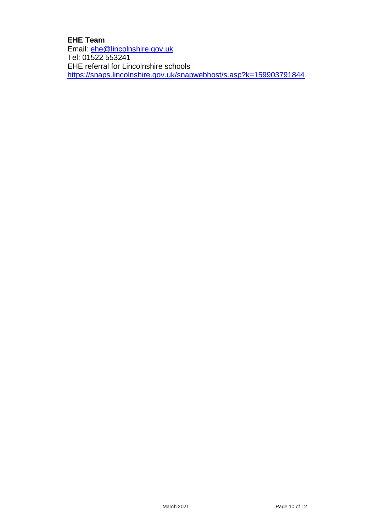#### **EHE Team**

Email: **ehe@lincolnshire.gov.uk** Tel: 01522 553241 EHE referral for Lincolnshire schools <https://snaps.lincolnshire.gov.uk/snapwebhost/s.asp?k=159903791844>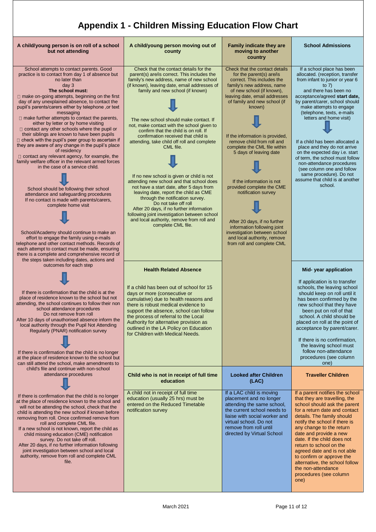### **Appendix 1 - Children Missing Education Flow Chart**

| A child/young person is on roll of a school<br>but not attending                                                                                                                                                                                                                                                                                                                                                                                                                                                                                                                                                                                                                                                                                                                                                                                                                                                                                                                                                                                                                                                                                                                                                                                                                           | A child/young person moving out of<br>county                                                                                                                                                                                                                                                                                                                                                                                                                                                                                                                                                                                                                                                                                                                                                                                                                        | <b>Family indicate they are</b><br>moving to another<br>country                                                                                                                                                                                                                                                                                                                                                                                                                                                                                                                                        | <b>School Admissions</b>                                                                                                                                                                                                                                                                                                                                                                                                                                                                                                                                                |
|--------------------------------------------------------------------------------------------------------------------------------------------------------------------------------------------------------------------------------------------------------------------------------------------------------------------------------------------------------------------------------------------------------------------------------------------------------------------------------------------------------------------------------------------------------------------------------------------------------------------------------------------------------------------------------------------------------------------------------------------------------------------------------------------------------------------------------------------------------------------------------------------------------------------------------------------------------------------------------------------------------------------------------------------------------------------------------------------------------------------------------------------------------------------------------------------------------------------------------------------------------------------------------------------|---------------------------------------------------------------------------------------------------------------------------------------------------------------------------------------------------------------------------------------------------------------------------------------------------------------------------------------------------------------------------------------------------------------------------------------------------------------------------------------------------------------------------------------------------------------------------------------------------------------------------------------------------------------------------------------------------------------------------------------------------------------------------------------------------------------------------------------------------------------------|--------------------------------------------------------------------------------------------------------------------------------------------------------------------------------------------------------------------------------------------------------------------------------------------------------------------------------------------------------------------------------------------------------------------------------------------------------------------------------------------------------------------------------------------------------------------------------------------------------|-------------------------------------------------------------------------------------------------------------------------------------------------------------------------------------------------------------------------------------------------------------------------------------------------------------------------------------------------------------------------------------------------------------------------------------------------------------------------------------------------------------------------------------------------------------------------|
| School attempts to contact parents. Good<br>practice is to contact from day 1 of absence but<br>no later than<br>day <sub>3</sub><br>The school must:<br>$\Box$ make on-going attempts, beginning on the first<br>day of any unexplained absence, to contact the<br>pupil's parents/carers either by telephone ,or text<br>messaging<br>$\Box$ make further attempts to contact the parents,<br>either by letter or by home visiting<br>$\Box$ contact any other schools where the pupil or<br>their siblings are known to have been pupils<br>$\Box$ check with the pupil's peer group to ascertain if<br>they are aware of any change in the pupil's place<br>of residency<br>$\Box$ contact any relevant agency, for example, the<br>family welfare officer in the relevant armed forces<br>in the case of a service child.<br>School should be following their school<br>attendance and safeguarding procedures<br>If no contact is made with parents/carers,<br>complete home visit<br>School/Academy should continue to make an<br>effort to engage the family using e-mails<br>telephone and other contact methods. Records of<br>each attempt to contact must be made, ensuring<br>there is a complete and comprehensive record of<br>the steps taken including dates, actions and | Check that the contact details for the<br>parent(s) are/is correct. This includes the<br>family's new address, name of new school<br>(if known), leaving date, email addresses of<br>family and new school (if known)<br>The new school should make contact. If<br>not, make contact with the school given to<br>confirm that the child is on roll. If<br>confirmation received that child is<br>attending, take child off roll and complete<br>CML file.<br>If no new school is given or child is not<br>attending new school and that school does<br>not have a start date, after 5 days from<br>leaving date, report the child as CME<br>through the notification survey.<br>Do not take off roll<br>After 20 days, if no further information<br>following joint investigation between school<br>and local authority, remove from roll and<br>complete CML file. | Check that the contact details<br>for the parent(s) are/is<br>correct. This includes the<br>family's new address, name<br>of new school (if known),<br>leaving date, email addresses<br>of family and new school (if<br>known)<br>If the information is provided,<br>remove child from roll and<br>complete the CML file within<br>5 days of leaving date<br>If the information is not<br>provided complete the CME<br>notification survey<br>After 20 days, if no further<br>information following joint<br>investigation between school<br>and local authority, remove<br>from roll and complete CML | If a school place has been<br>allocated. (reception, transfer<br>from infant to junior or year 6<br>to $7)$<br>and there has been no<br>acceptance/agreed start date,<br>by parent/carer, school should<br>make attempts to engage<br>(telephone, texts, e-mails<br>letters and home visit)<br>If a child has been allocated a<br>place and they do not arrive<br>on the expected day i.e. start<br>of term, the school must follow<br>non-attendance procedures<br>(see column one and follow<br>same procedure). Do not<br>assume that child is at another<br>school. |
| outcomes for each step                                                                                                                                                                                                                                                                                                                                                                                                                                                                                                                                                                                                                                                                                                                                                                                                                                                                                                                                                                                                                                                                                                                                                                                                                                                                     | <b>Health Related Absence</b>                                                                                                                                                                                                                                                                                                                                                                                                                                                                                                                                                                                                                                                                                                                                                                                                                                       |                                                                                                                                                                                                                                                                                                                                                                                                                                                                                                                                                                                                        | Mid-year application                                                                                                                                                                                                                                                                                                                                                                                                                                                                                                                                                    |
| If there is confirmation that the child is at the<br>place of residence known to the school but not<br>attending, the school continues to follow their non<br>school attendance procedures<br>Do not remove from roll<br>After 10 days of unauthorised absence inform the<br>local authority through the Pupil Not Attending<br>Regularly (PNAR) notification survey<br>If there is confirmation that the child is no longer<br>at the place of residence known to the school but<br>can still attend the school, make amendments to<br>child's file and continue with non-school                                                                                                                                                                                                                                                                                                                                                                                                                                                                                                                                                                                                                                                                                                          | If a child has been out of school for 15<br>days or more (consecutive or<br>cumulative) due to health reasons and<br>there is robust medical evidence to<br>support the absence, school can follow<br>the process of referral to the Local<br>Authority for alternative provision as<br>outlined in the LA Policy on Education<br>for Children with Medical Needs.                                                                                                                                                                                                                                                                                                                                                                                                                                                                                                  |                                                                                                                                                                                                                                                                                                                                                                                                                                                                                                                                                                                                        | If application is to transfer<br>schools, the leaving school<br>should keep on roll until it<br>has been confirmed by the<br>new school that they have<br>been put on roll of that<br>school. A child should be<br>placed on roll at the point of<br>acceptance by parent/carer.<br>If there is no confirmation,<br>the leaving school must<br>follow non-attendance<br>procedures (see column<br>one)                                                                                                                                                                  |
| attendance procedures                                                                                                                                                                                                                                                                                                                                                                                                                                                                                                                                                                                                                                                                                                                                                                                                                                                                                                                                                                                                                                                                                                                                                                                                                                                                      | Child who is not in receipt of full time<br>education                                                                                                                                                                                                                                                                                                                                                                                                                                                                                                                                                                                                                                                                                                                                                                                                               | <b>Looked after Children</b><br>(LAC)                                                                                                                                                                                                                                                                                                                                                                                                                                                                                                                                                                  | <b>Traveller Children</b>                                                                                                                                                                                                                                                                                                                                                                                                                                                                                                                                               |
| If there is confirmation that the child is no longer<br>at the place of residence known to the school and<br>will not be attending the school, check that the<br>child is attending the new school if known before<br>removing from roll. Once confirmed remove from<br>roll and complete CML file.<br>If a new school is not known, report the child as<br>child missing education (CME) notification<br>survey. Do not take off roll.<br>After 20 days, if no further information following<br>joint investigation between school and local<br>authority, remove from roll and complete CML<br>file.                                                                                                                                                                                                                                                                                                                                                                                                                                                                                                                                                                                                                                                                                     | A child not in receipt of full time<br>education (usually 25 hrs) must be<br>entered on the Reduced Timetable<br>notification survey                                                                                                                                                                                                                                                                                                                                                                                                                                                                                                                                                                                                                                                                                                                                | If a LAC child is moving<br>placement and no longer<br>attending the same school,<br>the current school needs to<br>liaise with social worker and<br>virtual school. Do not<br>remove from roll until<br>directed by Virtual School                                                                                                                                                                                                                                                                                                                                                                    | If a parent notifies the school<br>that they are travelling, the<br>school should ask the parent<br>for a return date and contact<br>details. The family should<br>notify the school if there is<br>any change to the return<br>date and provide a new<br>date. If the child does not<br>return to school on the<br>agreed date and is not able<br>to confirm or approve the<br>alternative, the school follow<br>the non-attendance<br>procedures (see column<br>one)                                                                                                  |